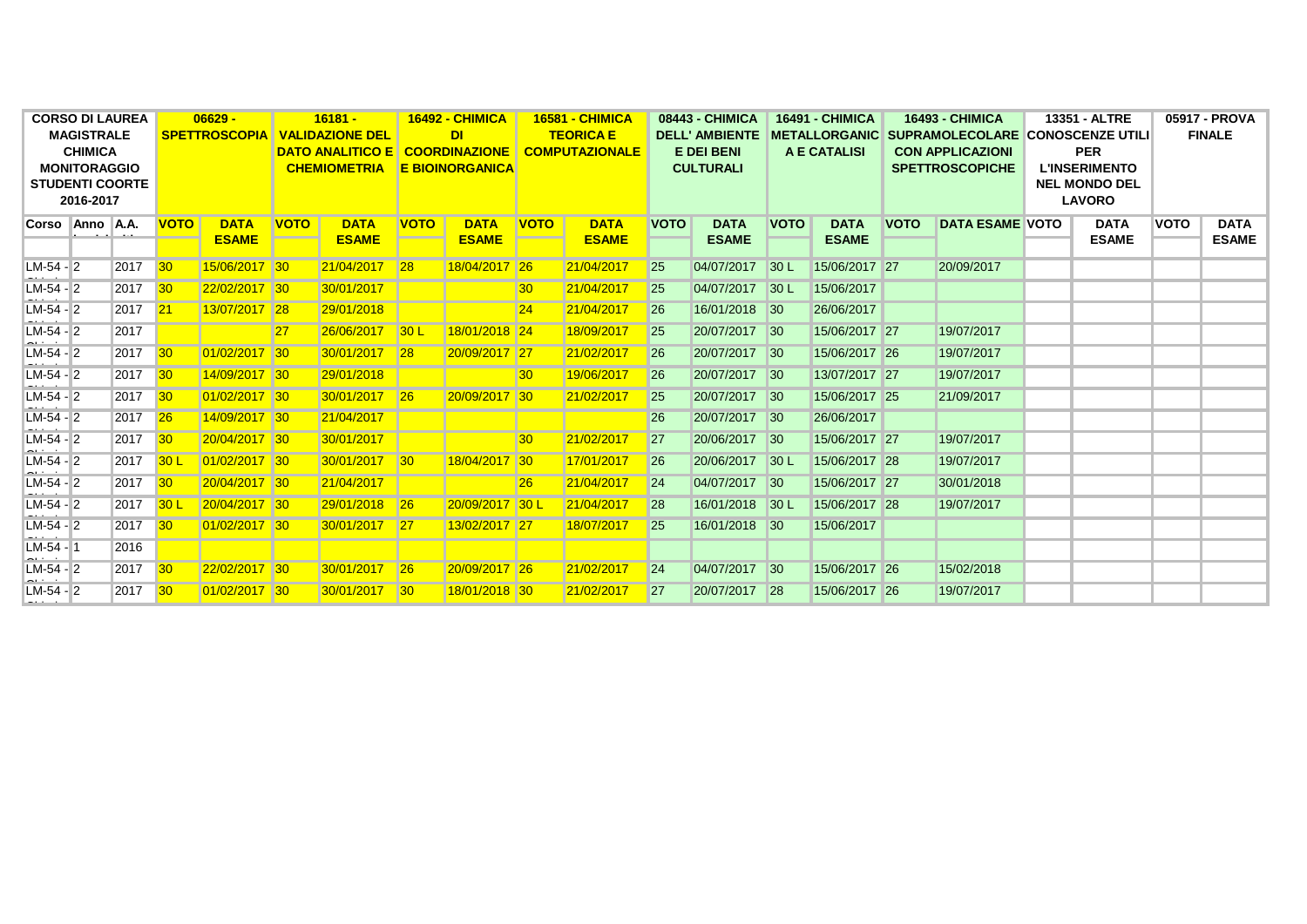| <b>CORSO DI LAUREA</b>                        |  | $06629 -$ |                            | $16181 -$     |                            | <b>16492 - CHIMICA</b>                  |                                     | <b>16581 - CHIMICA</b> |                            | 08443 - CHIMICA       |                            | <b>16491 - CHIMICA</b> |                            | <b>16493 - CHIMICA</b> |                                                       | 13351 - ALTRE           |                                              | 05917 - PROVA |               |              |
|-----------------------------------------------|--|-----------|----------------------------|---------------|----------------------------|-----------------------------------------|-------------------------------------|------------------------|----------------------------|-----------------------|----------------------------|------------------------|----------------------------|------------------------|-------------------------------------------------------|-------------------------|----------------------------------------------|---------------|---------------|--------------|
| <b>MAGISTRALE</b>                             |  |           | <b>SPETTROSCOPIA</b>       |               | <b>VALIDAZIONE DEL</b>     |                                         | <b>DI</b>                           |                        |                            | <b>TEORICA E</b>      |                            | <b>DELL' AMBIENTE</b>  |                            |                        | <b>METALLORGANIC SUPRAMOLECOLARE CONOSCENZE UTILI</b> |                         |                                              |               | <b>FINALE</b> |              |
| <b>CHIMICA</b>                                |  |           |                            |               |                            | <b>DATO ANALITICO E COORDINAZIONE I</b> |                                     |                        |                            | <b>COMPUTAZIONALE</b> |                            | <b>E DEI BENI</b>      |                            | A E CATALISI           |                                                       | <b>CON APPLICAZIONI</b> |                                              | <b>PER</b>    |               |              |
| <b>MONITORAGGIO</b><br><b>STUDENTI COORTE</b> |  |           |                            |               |                            |                                         | <b>CHEMIOMETRIA E BIOINORGANICA</b> |                        |                            |                       | <b>CULTURALI</b>           |                        |                            |                        | <b>SPETTROSCOPICHE</b>                                |                         | <b>L'INSERIMENTO</b><br><b>NEL MONDO DEL</b> |               |               |              |
| 2016-2017                                     |  |           |                            |               |                            |                                         |                                     |                        |                            |                       |                            |                        |                            |                        |                                                       |                         | <b>LAVORO</b>                                |               |               |              |
| Corso Anno A.A.                               |  |           | <b>DATA</b><br><b>VOTO</b> |               | <b>DATA</b><br><b>VOTO</b> |                                         | <b>DATA</b><br><b>VOTO</b>          |                        | <b>VOTO</b><br><b>DATA</b> |                       | <b>DATA</b><br><b>VOTO</b> |                        | <b>VOTO</b><br><b>DATA</b> |                        | <b>VOTO</b><br><b>DATA ESAME VOTO</b>                 |                         | <b>DATA</b>                                  |               | <b>VOTO</b>   | <b>DATA</b>  |
|                                               |  |           |                            | <b>ESAME</b>  |                            | <b>ESAME</b>                            |                                     | <b>ESAME</b>           |                            | <b>ESAME</b>          |                            | <b>ESAME</b>           |                            | <b>ESAME</b>           |                                                       |                         |                                              | <b>ESAME</b>  |               | <b>ESAME</b> |
|                                               |  |           |                            |               |                            |                                         |                                     |                        |                            |                       |                            |                        |                            |                        |                                                       |                         |                                              |               |               |              |
| $LM-54$ - 2                                   |  | 2017      | 30                         | 15/06/2017 30 |                            | 21/04/2017 28                           |                                     | 18/04/2017 26          |                            | 21/04/2017            | <b>25</b>                  | 04/07/2017             | 30 <sub>L</sub>            | 15/06/2017 27          |                                                       | 20/09/2017              |                                              |               |               |              |
| $LM-54-2$                                     |  | 2017 30   |                            | 22/02/2017 30 |                            | 30/01/2017                              |                                     |                        | 30                         | 21/04/2017            | 25                         | 04/07/2017             | 30 <sub>L</sub>            | 15/06/2017             |                                                       |                         |                                              |               |               |              |
| $LM-54$ - 2                                   |  | 2017 21   |                            | 13/07/2017 28 |                            | 29/01/2018                              |                                     |                        | 24                         | 21/04/2017            | 26                         | 16/01/2018             | $\vert$ 30                 | 26/06/2017             |                                                       |                         |                                              |               |               |              |
| $LM-54$ - 2                                   |  | 2017      |                            |               | 27                         | 26/06/2017                              | 30 <sup>L</sup>                     | 18/01/2018 24          |                            | 18/09/2017            | 25                         | 20/07/2017             | $\vert$ 30                 | 15/06/2017 27          |                                                       | 19/07/2017              |                                              |               |               |              |
| $LM-54-2$                                     |  | 2017      | 30                         | 01/02/2017 30 |                            | 30/01/2017                              | 28                                  | 20/09/2017 27          |                            | 21/02/2017            | 26                         | 20/07/2017             | $\vert$ 30                 | 15/06/2017 26          |                                                       | 19/07/2017              |                                              |               |               |              |
| $LM-54 - 2$                                   |  | 2017 30   |                            | 14/09/2017 30 |                            | 29/01/2018                              |                                     |                        | 30                         | 19/06/2017            | 26                         | 20/07/2017             | $\vert$ 30                 | 13/07/2017 27          |                                                       | 19/07/2017              |                                              |               |               |              |
| $LM-54-2$                                     |  | 2017 30   |                            | 01/02/2017 30 |                            | 30/01/2017 26                           |                                     | 20/09/2017 30          |                            | 21/02/2017            | 25                         | 20/07/2017             | $\vert$ 30                 | 15/06/2017 25          |                                                       | 21/09/2017              |                                              |               |               |              |
| $LM-54$ - 2                                   |  | 2017      | 26                         | 14/09/2017 30 |                            | 21/04/2017                              |                                     |                        |                            |                       | 26                         | 20/07/2017             | $\vert$ 30                 | 26/06/2017             |                                                       |                         |                                              |               |               |              |
| $LM-54-2$                                     |  | 2017      | 30                         | 20/04/2017 30 |                            | 30/01/2017                              |                                     |                        | 30 <sup>°</sup>            | 21/02/2017            | 27                         | 20/06/2017             | $\vert$ 30                 | 15/06/2017 27          |                                                       | 19/07/2017              |                                              |               |               |              |
| $LM-54 - 2$                                   |  | 2017      | 30 <sup>L</sup>            | 01/02/2017 30 |                            | 30/01/2017 30                           |                                     | 18/04/2017 30          |                            | 17/01/2017            | <b>26</b>                  | 20/06/2017             | 30 <sub>L</sub>            | 15/06/2017 28          |                                                       | 19/07/2017              |                                              |               |               |              |
| $LM-54$ - 2                                   |  | 2017      | 30                         | 20/04/2017 30 |                            | 21/04/2017                              |                                     |                        | 26                         | 21/04/2017            | 24                         | 04/07/2017             | 30                         | 15/06/2017 27          |                                                       | 30/01/2018              |                                              |               |               |              |
| $LM-54-2$                                     |  | 2017      | 30 L                       | 20/04/2017 30 |                            | 29/01/2018                              | 26                                  | 20/09/2017 30 L        |                            | 21/04/2017            | 28                         | 16/01/2018             | 30 <sub>L</sub>            | 15/06/2017 28          |                                                       | 19/07/2017              |                                              |               |               |              |
| $LM-54-2$                                     |  | 2017      | 30 <sup>°</sup>            | 01/02/2017 30 |                            | 30/01/2017                              | 27                                  | 13/02/2017 27          |                            | 18/07/2017            | <b>25</b>                  | 16/01/2018             | $\vert$ 30                 | 15/06/2017             |                                                       |                         |                                              |               |               |              |
| $LM-54-1$                                     |  | 2016      |                            |               |                            |                                         |                                     |                        |                            |                       |                            |                        |                            |                        |                                                       |                         |                                              |               |               |              |
| $LM-54-2$                                     |  | 2017 30   |                            | 22/02/2017 30 |                            | 30/01/2017 26                           |                                     | 20/09/2017 26          |                            | 21/02/2017            | 24                         | 04/07/2017             | $\vert$ 30                 | 15/06/2017 26          |                                                       | 15/02/2018              |                                              |               |               |              |
| $LM-54-2$                                     |  | 2017 30   |                            | 01/02/2017 30 |                            | 30/01/2017 30                           |                                     | 18/01/2018 30          |                            | 21/02/2017            | 27                         | 20/07/2017             | 28                         | 15/06/2017 26          |                                                       | 19/07/2017              |                                              |               |               |              |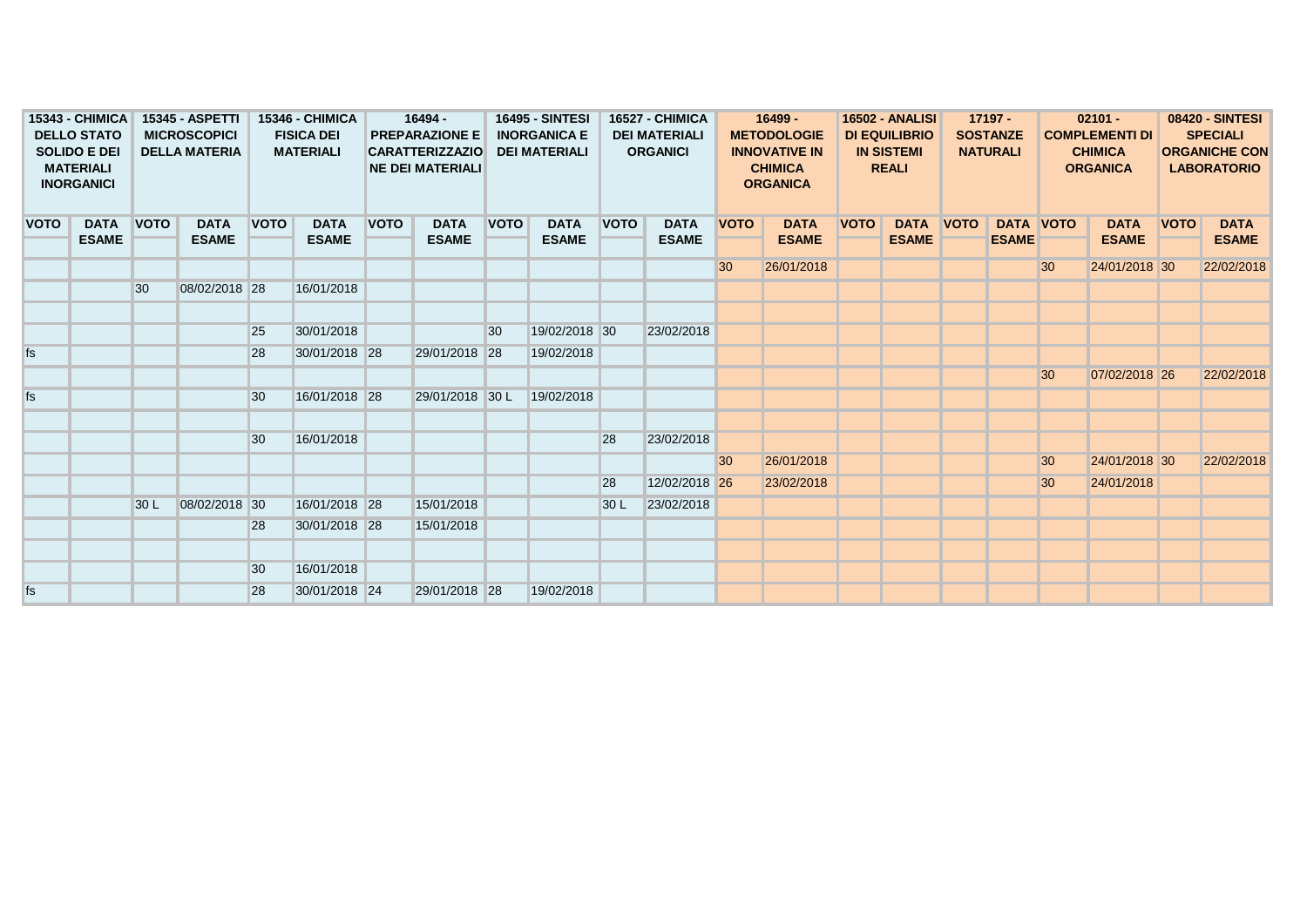| 15343 - CHIMICA<br><b>DELLO STATO</b><br><b>SOLIDO E DEI</b><br><b>MATERIALI</b><br><b>INORGANICI</b> |  | <b>15345 - ASPETTI</b><br><b>MICROSCOPICI</b><br><b>DELLA MATERIA</b> |               | <b>15346 - CHIMICA</b><br><b>FISICA DEI</b><br><b>MATERIALI</b> |               | 16494 -<br><b>PREPARAZIONE E</b><br><b>CARATTERIZZAZIO</b><br><b>NE DEI MATERIALI</b> |                 | <b>16495 - SINTESI</b><br><b>INORGANICA E</b><br><b>DEI MATERIALI</b> |                             | <b>16527 - CHIMICA</b><br><b>DEI MATERIALI</b><br><b>ORGANICI</b> |                             | $16499 -$<br><b>METODOLOGIE</b><br><b>INNOVATIVE IN</b><br><b>CHIMICA</b><br><b>ORGANICA</b> |              | <b>16502 - ANALISI</b><br><b>DI EQUILIBRIO</b><br><b>IN SISTEMI</b><br><b>REALI</b> |                                  | $17197 -$<br><b>SOSTANZE</b><br><b>NATURALI</b> |                  | $02101 -$<br><b>COMPLEMENTI DI</b><br><b>CHIMICA</b><br><b>ORGANICA</b> |               | <b>08420 - SINTESI</b><br><b>SPECIALI</b><br><b>ORGANICHE CON</b><br><b>LABORATORIO</b> |              |
|-------------------------------------------------------------------------------------------------------|--|-----------------------------------------------------------------------|---------------|-----------------------------------------------------------------|---------------|---------------------------------------------------------------------------------------|-----------------|-----------------------------------------------------------------------|-----------------------------|-------------------------------------------------------------------|-----------------------------|----------------------------------------------------------------------------------------------|--------------|-------------------------------------------------------------------------------------|----------------------------------|-------------------------------------------------|------------------|-------------------------------------------------------------------------|---------------|-----------------------------------------------------------------------------------------|--------------|
| <b>VOTO</b><br><b>DATA</b><br><b>ESAME</b>                                                            |  | <b>VOTO</b>                                                           | <b>DATA</b>   | <b>VOTO</b>                                                     | <b>DATA</b>   | <b>VOTO</b>                                                                           | <b>DATA</b>     | <b>VOTO</b>                                                           | <b>DATA</b><br><b>ESAME</b> | <b>VOTO</b>                                                       | <b>DATA</b><br><b>ESAME</b> | <b>VOTO</b>                                                                                  | <b>DATA</b>  | <b>VOTO</b>                                                                         | <b>DATA VOTO</b><br><b>ESAME</b> |                                                 | <b>DATA VOTO</b> |                                                                         | <b>DATA</b>   | <b>VOTO</b>                                                                             | <b>DATA</b>  |
|                                                                                                       |  |                                                                       | <b>ESAME</b>  |                                                                 | <b>ESAME</b>  |                                                                                       | <b>ESAME</b>    |                                                                       |                             |                                                                   |                             |                                                                                              | <b>ESAME</b> |                                                                                     |                                  |                                                 | <b>ESAME</b>     |                                                                         | <b>ESAME</b>  |                                                                                         | <b>ESAME</b> |
|                                                                                                       |  |                                                                       |               |                                                                 |               |                                                                                       |                 |                                                                       |                             |                                                                   |                             | 30 <sup>°</sup>                                                                              | 26/01/2018   |                                                                                     |                                  |                                                 |                  | 30 <sup>°</sup>                                                         | 24/01/2018 30 |                                                                                         | 22/02/2018   |
|                                                                                                       |  | 30                                                                    | 08/02/2018 28 |                                                                 | 16/01/2018    |                                                                                       |                 |                                                                       |                             |                                                                   |                             |                                                                                              |              |                                                                                     |                                  |                                                 |                  |                                                                         |               |                                                                                         |              |
|                                                                                                       |  |                                                                       |               |                                                                 |               |                                                                                       |                 |                                                                       |                             |                                                                   |                             |                                                                                              |              |                                                                                     |                                  |                                                 |                  |                                                                         |               |                                                                                         |              |
|                                                                                                       |  |                                                                       |               | 25                                                              | 30/01/2018    |                                                                                       |                 | 30                                                                    | 19/02/2018 30               |                                                                   | 23/02/2018                  |                                                                                              |              |                                                                                     |                                  |                                                 |                  |                                                                         |               |                                                                                         |              |
| fs                                                                                                    |  |                                                                       |               | 28                                                              | 30/01/2018 28 |                                                                                       | 29/01/2018 28   |                                                                       | 19/02/2018                  |                                                                   |                             |                                                                                              |              |                                                                                     |                                  |                                                 |                  |                                                                         |               |                                                                                         |              |
|                                                                                                       |  |                                                                       |               |                                                                 |               |                                                                                       |                 |                                                                       |                             |                                                                   |                             |                                                                                              |              |                                                                                     |                                  |                                                 |                  | 30 <sup>°</sup>                                                         | 07/02/2018 26 |                                                                                         | 22/02/2018   |
| fs                                                                                                    |  |                                                                       |               | 30                                                              | 16/01/2018 28 |                                                                                       | 29/01/2018 30 L |                                                                       | 19/02/2018                  |                                                                   |                             |                                                                                              |              |                                                                                     |                                  |                                                 |                  |                                                                         |               |                                                                                         |              |
|                                                                                                       |  |                                                                       |               |                                                                 |               |                                                                                       |                 |                                                                       |                             |                                                                   |                             |                                                                                              |              |                                                                                     |                                  |                                                 |                  |                                                                         |               |                                                                                         |              |
|                                                                                                       |  |                                                                       |               | 30                                                              | 16/01/2018    |                                                                                       |                 |                                                                       |                             | <b>28</b>                                                         | 23/02/2018                  |                                                                                              |              |                                                                                     |                                  |                                                 |                  |                                                                         |               |                                                                                         |              |
|                                                                                                       |  |                                                                       |               |                                                                 |               |                                                                                       |                 |                                                                       |                             |                                                                   |                             | 30                                                                                           | 26/01/2018   |                                                                                     |                                  |                                                 |                  | 30                                                                      | 24/01/2018 30 |                                                                                         | 22/02/2018   |
|                                                                                                       |  |                                                                       |               |                                                                 |               |                                                                                       |                 |                                                                       |                             | 28                                                                | 12/02/2018 26               |                                                                                              | 23/02/2018   |                                                                                     |                                  |                                                 |                  | 30                                                                      | 24/01/2018    |                                                                                         |              |
|                                                                                                       |  | 30 L                                                                  | 08/02/2018 30 |                                                                 | 16/01/2018 28 |                                                                                       | 15/01/2018      |                                                                       |                             | 30 <sub>L</sub>                                                   | 23/02/2018                  |                                                                                              |              |                                                                                     |                                  |                                                 |                  |                                                                         |               |                                                                                         |              |
|                                                                                                       |  |                                                                       |               | 28                                                              | 30/01/2018 28 |                                                                                       | 15/01/2018      |                                                                       |                             |                                                                   |                             |                                                                                              |              |                                                                                     |                                  |                                                 |                  |                                                                         |               |                                                                                         |              |
|                                                                                                       |  |                                                                       |               |                                                                 |               |                                                                                       |                 |                                                                       |                             |                                                                   |                             |                                                                                              |              |                                                                                     |                                  |                                                 |                  |                                                                         |               |                                                                                         |              |
|                                                                                                       |  |                                                                       |               | 30                                                              | 16/01/2018    |                                                                                       |                 |                                                                       |                             |                                                                   |                             |                                                                                              |              |                                                                                     |                                  |                                                 |                  |                                                                         |               |                                                                                         |              |
| fs                                                                                                    |  |                                                                       |               | 28                                                              | 30/01/2018 24 |                                                                                       | 29/01/2018 28   |                                                                       | 19/02/2018                  |                                                                   |                             |                                                                                              |              |                                                                                     |                                  |                                                 |                  |                                                                         |               |                                                                                         |              |